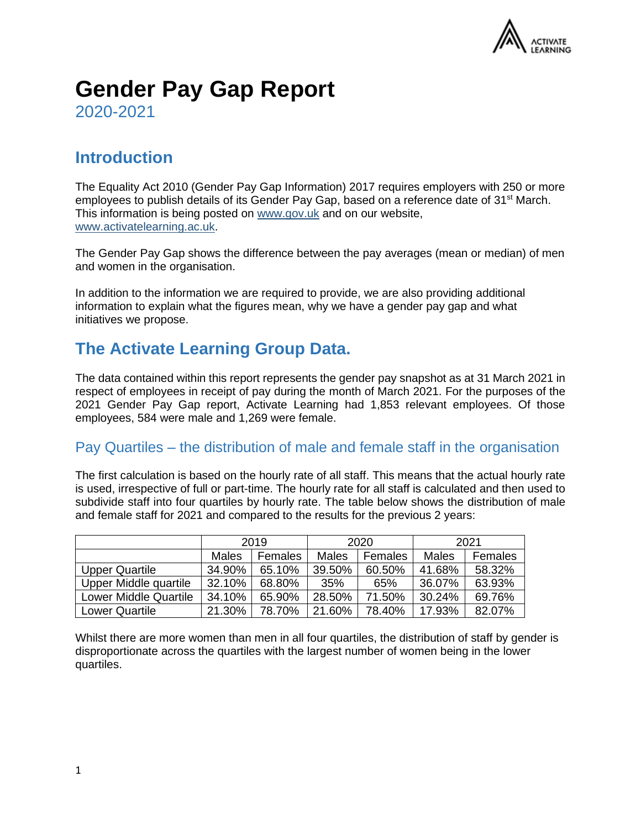

# **Gender Pay Gap Report**

2020-2021

# **Introduction**

The Equality Act 2010 (Gender Pay Gap Information) 2017 requires employers with 250 or more employees to publish details of its Gender Pay Gap, based on a reference date of 31<sup>st</sup> March. This information is being posted on [www.gov.uk](http://www.gov.uk/) and on our website, [www.activatelearning.ac.uk.](http://www.activatelearning.ac.uk/)

The Gender Pay Gap shows the difference between the pay averages (mean or median) of men and women in the organisation.

In addition to the information we are required to provide, we are also providing additional information to explain what the figures mean, why we have a gender pay gap and what initiatives we propose.

# **The Activate Learning Group Data.**

The data contained within this report represents the gender pay snapshot as at 31 March 2021 in respect of employees in receipt of pay during the month of March 2021. For the purposes of the 2021 Gender Pay Gap report, Activate Learning had 1,853 relevant employees. Of those employees, 584 were male and 1,269 were female.

#### Pay Quartiles – the distribution of male and female staff in the organisation

The first calculation is based on the hourly rate of all staff. This means that the actual hourly rate is used, irrespective of full or part-time. The hourly rate for all staff is calculated and then used to subdivide staff into four quartiles by hourly rate. The table below shows the distribution of male and female staff for 2021 and compared to the results for the previous 2 years:

|                              | 2019   |         | 2020   |         | 2021   |         |
|------------------------------|--------|---------|--------|---------|--------|---------|
|                              | Males  | Females | Males  | Females | Males  | Females |
| Upper Quartile               | 34.90% | 65.10%  | 39.50% | 60.50%  | 41.68% | 58.32%  |
| Upper Middle quartile        | 32.10% | 68.80%  | 35%    | 65%     | 36.07% | 63.93%  |
| <b>Lower Middle Quartile</b> | 34.10% | 65.90%  | 28.50% | 71.50%  | 30.24% | 69.76%  |
| <b>Lower Quartile</b>        | 21.30% | 78.70%  | 21.60% | 78.40%  | 17.93% | 82.07%  |

Whilst there are more women than men in all four quartiles, the distribution of staff by gender is disproportionate across the quartiles with the largest number of women being in the lower quartiles.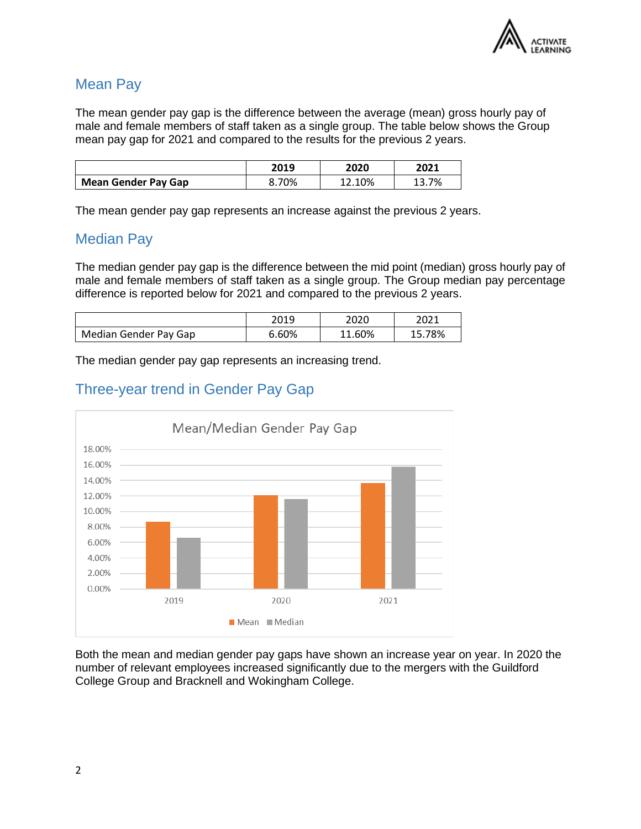

#### Mean Pay

The mean gender pay gap is the difference between the average (mean) gross hourly pay of male and female members of staff taken as a single group. The table below shows the Group mean pay gap for 2021 and compared to the results for the previous 2 years.

|                            | 2019  | 2020   | 2021  |
|----------------------------|-------|--------|-------|
| <b>Mean Gender Pay Gap</b> | 8.70% | 12.10% | 13.7% |

The mean gender pay gap represents an increase against the previous 2 years.

#### Median Pay

The median gender pay gap is the difference between the mid point (median) gross hourly pay of male and female members of staff taken as a single group. The Group median pay percentage difference is reported below for 2021 and compared to the previous 2 years.

|                       | 2019  | 2020   | 2021 |
|-----------------------|-------|--------|------|
| Median Gender Pay Gap | 6.60% | 11.60% | 78%  |

The median gender pay gap represents an increasing trend.



## Three-year trend in Gender Pay Gap

Both the mean and median gender pay gaps have shown an increase year on year. In 2020 the number of relevant employees increased significantly due to the mergers with the Guildford College Group and Bracknell and Wokingham College.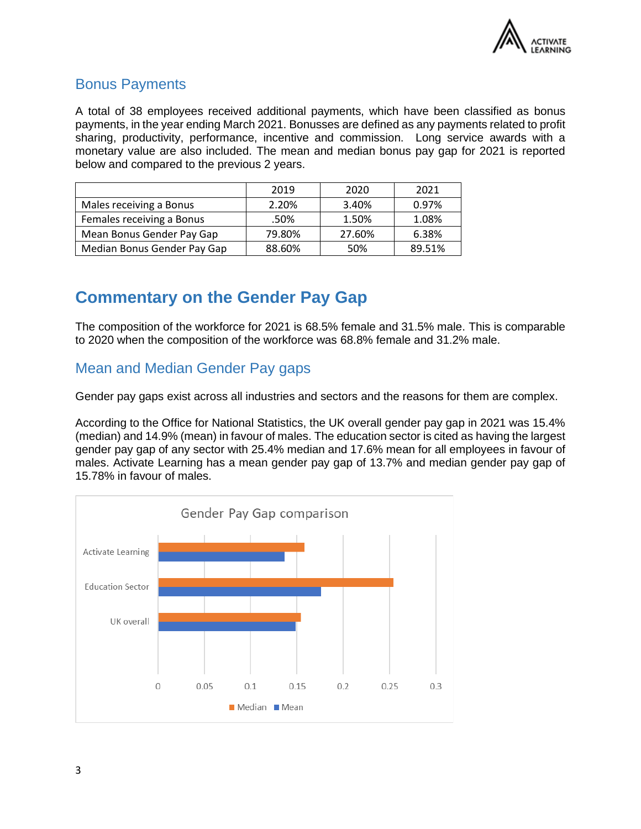

## Bonus Payments

A total of 38 employees received additional payments, which have been classified as bonus payments, in the year ending March 2021. Bonusses are defined as any payments related to profit sharing, productivity, performance, incentive and commission. Long service awards with a monetary value are also included. The mean and median bonus pay gap for 2021 is reported below and compared to the previous 2 years.

|                             | 2019   | 2020   | 2021   |
|-----------------------------|--------|--------|--------|
| Males receiving a Bonus     | 2.20%  | 3.40%  | 0.97%  |
| Females receiving a Bonus   | .50%   | 1.50%  | 1.08%  |
| Mean Bonus Gender Pay Gap   | 79.80% | 27.60% | 6.38%  |
| Median Bonus Gender Pay Gap | 88.60% | 50%    | 89.51% |

# **Commentary on the Gender Pay Gap**

The composition of the workforce for 2021 is 68.5% female and 31.5% male. This is comparable to 2020 when the composition of the workforce was 68.8% female and 31.2% male.

## Mean and Median Gender Pay gaps

Gender pay gaps exist across all industries and sectors and the reasons for them are complex.

According to the Office for National Statistics, the UK overall gender pay gap in 2021 was 15.4% (median) and 14.9% (mean) in favour of males. The education sector is cited as having the largest gender pay gap of any sector with 25.4% median and 17.6% mean for all employees in favour of males. Activate Learning has a mean gender pay gap of 13.7% and median gender pay gap of 15.78% in favour of males.

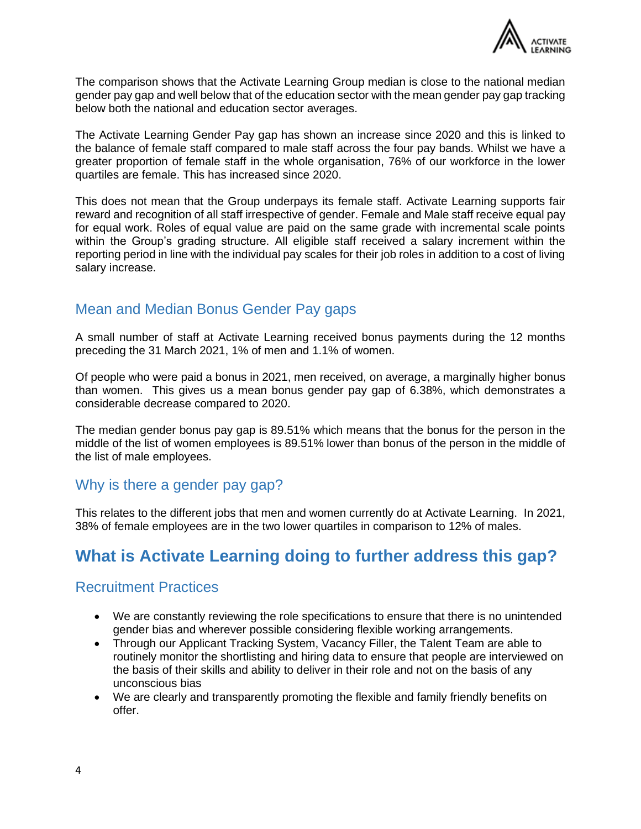

The comparison shows that the Activate Learning Group median is close to the national median gender pay gap and well below that of the education sector with the mean gender pay gap tracking below both the national and education sector averages.

The Activate Learning Gender Pay gap has shown an increase since 2020 and this is linked to the balance of female staff compared to male staff across the four pay bands. Whilst we have a greater proportion of female staff in the whole organisation, 76% of our workforce in the lower quartiles are female. This has increased since 2020.

This does not mean that the Group underpays its female staff. Activate Learning supports fair reward and recognition of all staff irrespective of gender. Female and Male staff receive equal pay for equal work. Roles of equal value are paid on the same grade with incremental scale points within the Group's grading structure. All eligible staff received a salary increment within the reporting period in line with the individual pay scales for their job roles in addition to a cost of living salary increase.

## Mean and Median Bonus Gender Pay gaps

A small number of staff at Activate Learning received bonus payments during the 12 months preceding the 31 March 2021, 1% of men and 1.1% of women.

Of people who were paid a bonus in 2021, men received, on average, a marginally higher bonus than women. This gives us a mean bonus gender pay gap of 6.38%, which demonstrates a considerable decrease compared to 2020.

The median gender bonus pay gap is 89.51% which means that the bonus for the person in the middle of the list of women employees is 89.51% lower than bonus of the person in the middle of the list of male employees.

#### Why is there a gender pay gap?

This relates to the different jobs that men and women currently do at Activate Learning. In 2021, 38% of female employees are in the two lower quartiles in comparison to 12% of males.

# **What is Activate Learning doing to further address this gap?**

#### Recruitment Practices

- We are constantly reviewing the role specifications to ensure that there is no unintended gender bias and wherever possible considering flexible working arrangements.
- Through our Applicant Tracking System, Vacancy Filler, the Talent Team are able to routinely monitor the shortlisting and hiring data to ensure that people are interviewed on the basis of their skills and ability to deliver in their role and not on the basis of any unconscious bias
- We are clearly and transparently promoting the flexible and family friendly benefits on offer.